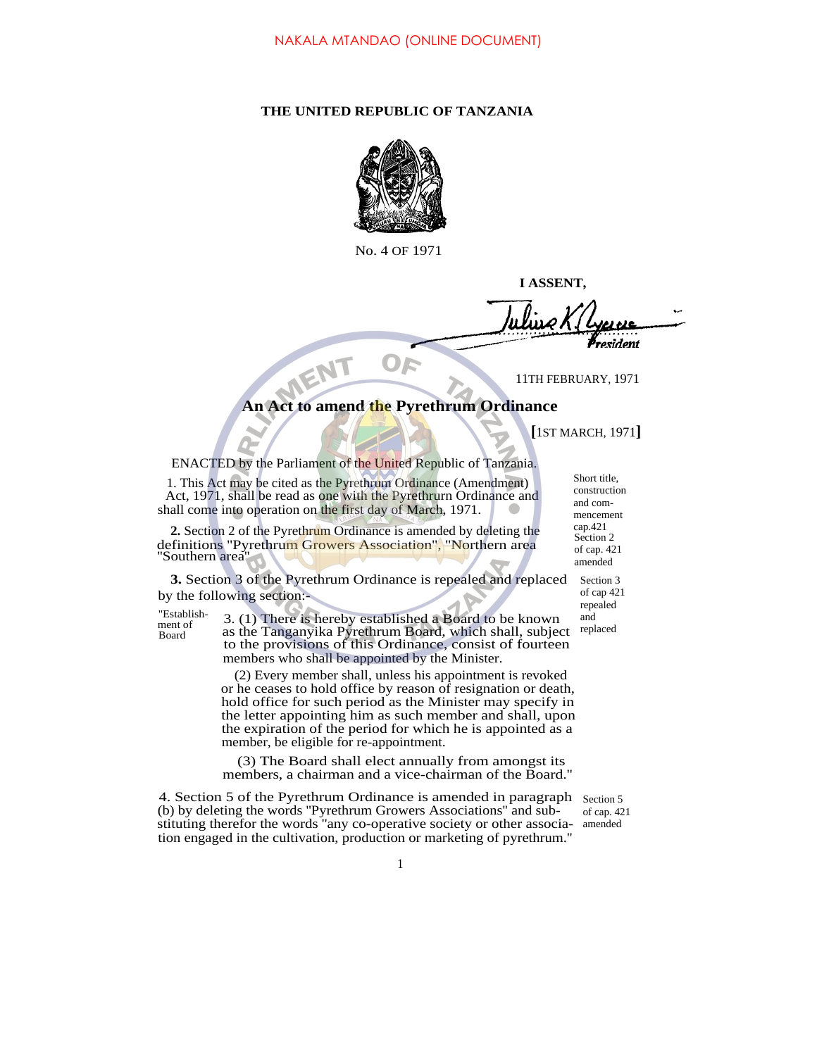## **THE UNITED REPUBLIC OF TANZANIA**



No. 4 OF 1971

**I ASSENT,**

**P**resident

11TH FEBRUARY, 1971

## **An Act to amend the Pyrethrum Ordinance**

**[**1ST MARCH, 1971**]**

ENACTED by the Parliament of the United Republic of Tanzania.

1. This Act may be cited as the Pyrethrum Ordinance (Amendment) Act, 1971, shall be read as one with the Pyrethrurn Ordinance and shall come into operation on the first day of March, 1971.

**2.** Section 2 of the Pyrethrum Ordinance is amended by deleting the definitions "Pyrethrum Growers Association", "Northern area ''Southern area''

**3.** Section 3 of the Pyrethrum Ordinance is repealed and replaced by the following section:-

ment of Board

"Establish- $\overline{3}$ . (1) There is hereby established a Board to be known as the Tanganyika Pyrethrum Board, which shall, subject to the provisions of this Ordinance, consist of fourteen members who shall be appointed by the Minister.

> (2) Every member shall, unless his appointment is revoked or he ceases to hold office by reason of resignation or death, hold office for such period as the Minister may specify in the letter appointing him as such member and shall, upon the expiration of the period for which he is appointed as a member, be eligible for re-appointment.

> (3) The Board shall elect annually from amongst its members, a chairman and a vice-chairman of the Board.''

4. Section 5 of the Pyrethrum Ordinance is amended in paragraph (b) by deleting the words ''Pyrethrum Growers Associations'' and substituting therefor the words ''any co-operative society or other association engaged in the cultivation, production or marketing of pyrethrum.'' Section 5 of cap. 421 amended

Short title, construction and commencement cap.421 Section 2 of cap. 421 amended

> Section 3 of cap 421 repealed and

replaced

1